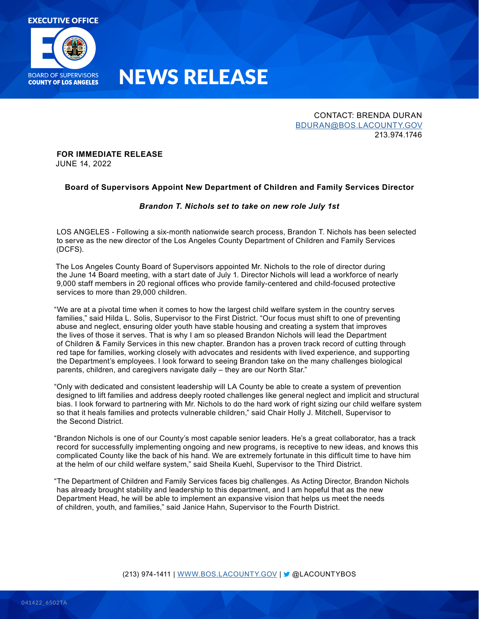

## NEWS RELEASE

CONTACT: BRENDA DURAN [BDURAN@BOS.LACOUNTY.GOV](mailto:bduran@bos.lacounty.gov) 213.974.1746

#### **FOR IMMEDIATE RELEASE** JUNE 14, 2022

## **Board of Supervisors Appoint New Department of Children and Family Services Director**

### *Brandon T. Nichols set to take on new role July 1st*

LOS ANGELES - Following a six-month nationwide search process, Brandon T. Nichols has been selected to serve as the new director of the Los Angeles County Department of Children and Family Services (DCFS).

The Los Angeles County Board of Supervisors appointed Mr. Nichols to the role of director during the June 14 Board meeting, with a start date of July 1. Director Nichols will lead a workforce of nearly 9,000 staff members in 20 regional offices who provide family-centered and child-focused protective services to more than 29,000 children.

"We are at a pivotal time when it comes to how the largest child welfare system in the country serves families," said Hilda L. Solis, Supervisor to the First District. "Our focus must shift to one of preventing abuse and neglect, ensuring older youth have stable housing and creating a system that improves the lives of those it serves. That is why I am so pleased Brandon Nichols will lead the Department of Children & Family Services in this new chapter. Brandon has a proven track record of cutting through red tape for families, working closely with advocates and residents with lived experience, and supporting the Department's employees. I look forward to seeing Brandon take on the many challenges biological parents, children, and caregivers navigate daily – they are our North Star."

"Only with dedicated and consistent leadership will LA County be able to create a system of prevention designed to lift families and address deeply rooted challenges like general neglect and implicit and structural bias. I look forward to partnering with Mr. Nichols to do the hard work of right sizing our child welfare system so that it heals families and protects vulnerable children," said Chair Holly J. Mitchell, Supervisor to the Second District.

"Brandon Nichols is one of our County's most capable senior leaders. He's a great collaborator, has a track record for successfully implementing ongoing and new programs, is receptive to new ideas, and knows this complicated County like the back of his hand. We are extremely fortunate in this difficult time to have him at the helm of our child welfare system," said Sheila Kuehl, Supervisor to the Third District.

"The Department of Children and Family Services faces big challenges. As Acting Director, Brandon Nichols has already brought stability and leadership to this department, and I am hopeful that as the new Department Head, he will be able to implement an expansive vision that helps us meet the needs of children, youth, and families," said Janice Hahn, Supervisor to the Fourth District.